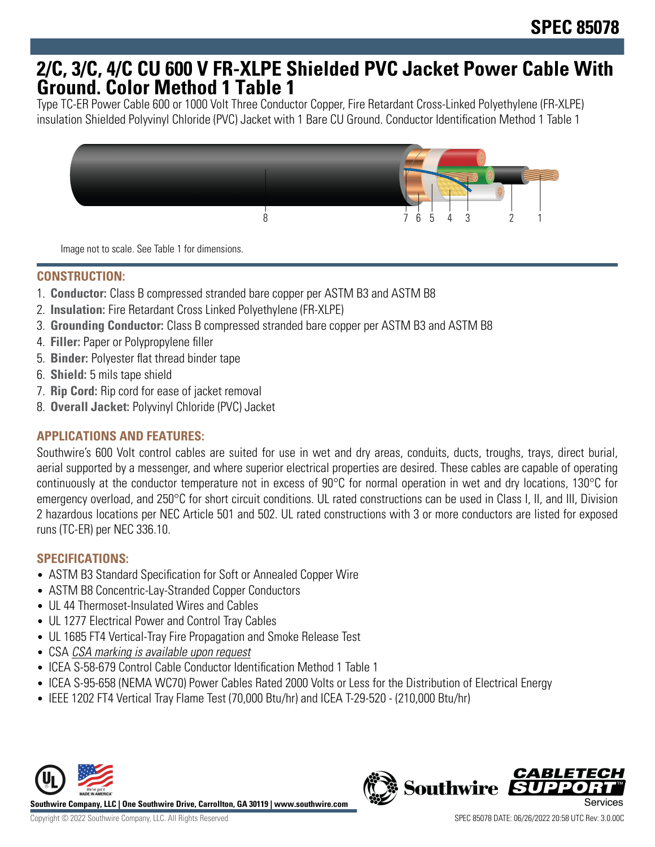# **2/C, 3/C, 4/C CU 600 V FR-XLPE Shielded PVC Jacket Power Cable With Ground. Color Method 1 Table 1**

Type TC-ER Power Cable 600 or 1000 Volt Three Conductor Copper, Fire Retardant Cross-Linked Polyethylene (FR-XLPE) insulation Shielded Polyvinyl Chloride (PVC) Jacket with 1 Bare CU Ground. Conductor Identification Method 1 Table 1



Image not to scale. See Table 1 for dimensions.

# **CONSTRUCTION:**

- 1. **Conductor:** Class B compressed stranded bare copper per ASTM B3 and ASTM B8
- 2. **Insulation:** Fire Retardant Cross Linked Polyethylene (FR-XLPE)
- 3. **Grounding Conductor:** Class B compressed stranded bare copper per ASTM B3 and ASTM B8
- 4. **Filler:** Paper or Polypropylene filler
- 5. **Binder:** Polyester flat thread binder tape
- 6. **Shield:** 5 mils tape shield
- 7. **Rip Cord:** Rip cord for ease of jacket removal
- 8. **Overall Jacket:** Polyvinyl Chloride (PVC) Jacket

# **APPLICATIONS AND FEATURES:**

Southwire's 600 Volt control cables are suited for use in wet and dry areas, conduits, ducts, troughs, trays, direct burial, aerial supported by a messenger, and where superior electrical properties are desired. These cables are capable of operating continuously at the conductor temperature not in excess of 90°C for normal operation in wet and dry locations, 130°C for emergency overload, and 250°C for short circuit conditions. UL rated constructions can be used in Class I, II, and III, Division 2 hazardous locations per NEC Article 501 and 502. UL rated constructions with 3 or more conductors are listed for exposed runs (TC-ER) per NEC 336.10.

### **SPECIFICATIONS:**

- ASTM B3 Standard Specification for Soft or Annealed Copper Wire
- ASTM B8 Concentric-Lay-Stranded Copper Conductors
- UL 44 Thermoset-Insulated Wires and Cables
- UL 1277 Electrical Power and Control Tray Cables
- UL 1685 FT4 Vertical-Tray Fire Propagation and Smoke Release Test
- CSA CSA marking is available upon request
- ICEA S-58-679 Control Cable Conductor Identification Method 1 Table 1
- ICEA S-95-658 (NEMA WC70) Power Cables Rated 2000 Volts or Less for the Distribution of Electrical Energy
- IEEE 1202 FT4 Vertical Tray Flame Test (70,000 Btu/hr) and ICEA T-29-520 (210,000 Btu/hr)



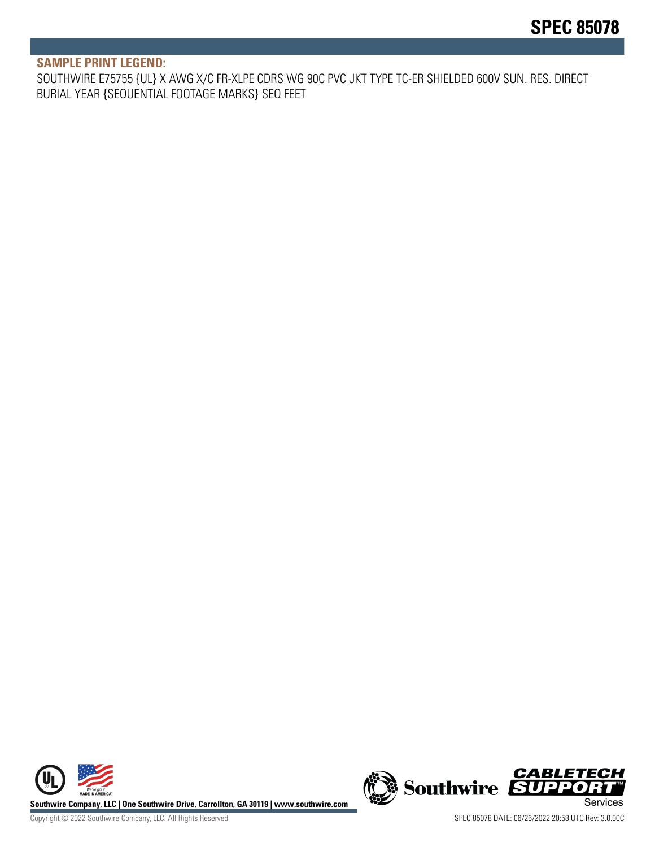#### **SAMPLE PRINT LEGEND:**

SOUTHWIRE E75755 {UL} X AWG X/C FR-XLPE CDRS WG 90C PVC JKT TYPE TC-ER SHIELDED 600V SUN. RES. DIRECT BURIAL YEAR {SEQUENTIAL FOOTAGE MARKS} SEQ FEET